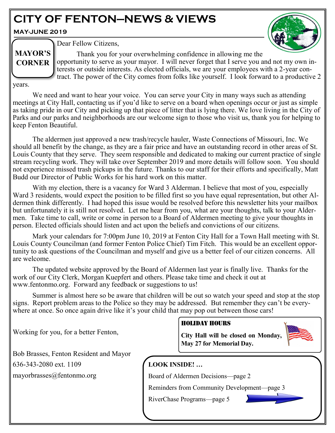# **CITY OF FENTON—NEWS & VIEWS**

**MAY-JUNE 2019**

**MAYOR'S CORNER**



Dear Fellow Citizens,

Thank you for your overwhelming confidence in allowing me the opportunity to serve as your mayor. I will never forget that I serve you and not my own interests or outside interests. As elected officials, we are your employees with a 2-year contract. The power of the City comes from folks like yourself. I look forward to a productive 2

years.

We need and want to hear your voice. You can serve your City in many ways such as attending meetings at City Hall, contacting us if you'd like to serve on a board when openings occur or just as simple as taking pride in our City and picking up that piece of litter that is lying there. We love living in the City of Parks and our parks and neighborhoods are our welcome sign to those who visit us, thank you for helping to keep Fenton Beautiful.

The aldermen just approved a new trash/recycle hauler, Waste Connections of Missouri, Inc. We should all benefit by the change, as they are a fair price and have an outstanding record in other areas of St. Louis County that they serve. They seem responsible and dedicated to making our current practice of single stream recycling work. They will take over September 2019 and more details will follow soon. You should not experience missed trash pickups in the future. Thanks to our staff for their efforts and specifically, Matt Budd our Director of Public Works for his hard work on this matter.

With my election, there is a vacancy for Ward 3 Alderman. I believe that most of you, especially Ward 3 residents, would expect the position to be filled first so you have equal representation, but other Aldermen think differently. I had hoped this issue would be resolved before this newsletter hits your mailbox but unfortunately it is still not resolved. Let me hear from you, what are your thoughts, talk to your Aldermen. Take time to call, write or come in person to a Board of Aldermen meeting to give your thoughts in person. Elected officials should listen and act upon the beliefs and convictions of our citizens.

Mark your calendars for 7:00pm June 10, 2019 at Fenton City Hall for a Town Hall meeting with St. Louis County Councilman (and former Fenton Police Chief) Tim Fitch. This would be an excellent opportunity to ask questions of the Councilman and myself and give us a better feel of our citizen concerns. All are welcome.

The updated website approved by the Board of Aldermen last year is finally live. Thanks for the work of our City Clerk, Morgan Kuepfert and others. Please take time and check it out at www.fentonmo.org. Forward any feedback or suggestions to us!

Summer is almost here so be aware that children will be out so watch your speed and stop at the stop signs. Report problem areas to the Police so they may be addressed. But remember they can't be everywhere at once. So once again drive like it's your child that may pop out between those cars!

Working for you, for a better Fenton,

Bob Brasses, Fenton Resident and Mayor

636-343-2080 ext. 1109

mayorbrasses@fentonmo.org

# Holiday hours

**City Hall will be closed on Monday, May 27 for Memorial Day.**



# **LOOK INSIDE! …**

Board of Aldermen Decisions—page 2

Reminders from Community Development—page 3

RiverChase Programs—page 5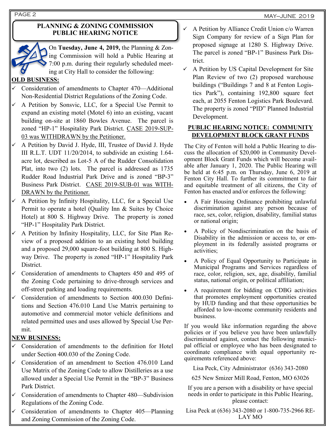#### **PLANNING & ZONING COMMISSION PUBLIC HEARING NOTICE**



On **Tuesday, June 4, 2019,** the Planning & Zoning Commission will hold a Public Hearing at 7:00 p.m. during their regularly scheduled meeting at City Hall to consider the following:

#### **OLD BUSINESS:**

- Consideration of amendments to Chapter 470—Additional Non-Residential District Regulations of the Zoning Code.
- A Petition by Sonsvic, LLC, for a Special Use Permit to expand an existing motel (Motel 6) into an existing, vacant building on-site at 1860 Bowles Avenue. The parcel is zoned "HP-1" Hospitality Park District. CASE 2019-SUP-03 was WITHDRAWN by the Petitioner.
- A Petition by David J. Hyde, III, Trustee of David J. Hyde III R.L.T. UDT 11/20/2014, to subdivide an existing 1.64 acre lot, described as Lot-5 A of the Rudder Consolidation Plat, into two (2) lots. The parcel is addressed as 1735 Rudder Road Industrial Park Drive and is zoned "BP-3" Business Park District. CASE 2019-SUB-01 was WITH-DRAWN by the Petitioner.
- A Petition by Infinity Hospitality, LLC, for a Special Use Permit to operate a hotel (Quality Inn & Suites by Choice Hotel) at 800 S. Highway Drive. The property is zoned "HP-1" Hospitality Park District.
- A Petition by Infinity Hospitality, LLC, for Site Plan Review of a proposed addition to an existing hotel building and a proposed 29,000 square-foot building at 800 S. Highway Drive. The property is zoned "HP-1" Hospitality Park District.
- Consideration of amendments to Chapters 450 and 495 of the Zoning Code pertaining to drive-through services and off-street parking and loading requirements.
- Consideration of amendments to Section 400.030 Definitions and Section 476.010 Land Use Matrix pertaining to automotive and commercial motor vehicle definitions and related permitted uses and uses allowed by Special Use Permit.

#### **NEW BUSINESS:**

- Consideration of amendments to the definition for Hotel under Section 400.030 of the Zoning Code.
- Consideration of an amendment to Section 476.010 Land Use Matrix of the Zoning Code to allow Distilleries as a use allowed under a Special Use Permit in the "BP-3" Business Park District.
- Consideration of amendments to Chapter 480—Subdivision Regulations of the Zoning Code.
- Consideration of amendments to Chapter 405—Planning and Zoning Commission of the Zoning Code.
- A Petition by Alliance Credit Union c/o Warren Sign Company for review of a Sign Plan for proposed signage at 1280 S. Highway Drive. The parcel is zoned "BP-1" Business Park District.
- $\checkmark$  A Petition by US Capital Development for Site Plan Review of two (2) proposed warehouse buildings ("Buildings 7 and 8 at Fenton Logistics Park"), containing 192,800 square feet each, at 2055 Fenton Logistics Park Boulevard. The property is zoned "PID" Planned Industrial Development.

#### **PUBLIC HEARING NOTICE: COMMUNITY DEVELOPMENT BLOCK GRANT FUNDS**

The City of Fenton will hold a Public Hearing to discuss the allocation of \$20,000 in Community Development Block Grant Funds which will become available after January 1, 2020. The Public Hearing will be held at 6:45 p.m. on Thursday, June 6, 2019 at Fenton City Hall. To further its commitment to fair and equitable treatment of all citizens, the City of Fenton has enacted and/or enforces the following:

- A Fair Housing Ordinance prohibiting unlawful discrimination against any person because of race, sex, color, religion, disability, familial status or national origin;
- A Policy of Nondiscrimination on the basis of Disability in the admission or access to, or employment in its federally assisted programs or activities;
- A Policy of Equal Opportunity to Participate in Municipal Programs and Services regardless of race, color, religion, sex, age, disability, familial status, national origin, or political affiliation;
- A requirement for bidding on CDBG activities that promotes employment opportunities created by HUD funding and that these opportunities be afforded to low-income community residents and business.

If you would like information regarding the above policies or if you believe you have been unlawfully discriminated against, contact the following municipal official or employee who has been designated to coordinate compliance with equal opportunity requirements referenced above:

Lisa Peck, City Administrator (636) 343-2080

625 New Smizer Mill Road, Fenton, MO 63026

If you are a person with a disability or have special needs in order to participate in this Public Hearing, please contact:

Lisa Peck at (636) 343-2080 or 1-800-735-2966 RE-LAY MO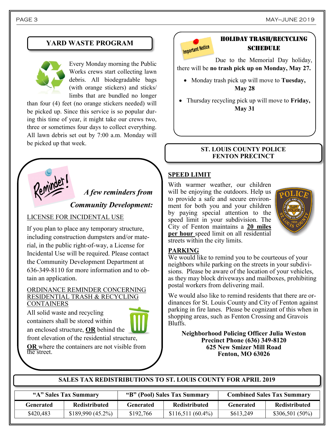

Every Monday morning the Public Works crews start collecting lawn debris. All biodegradable bags (with orange stickers) and sticks/ limbs that are bundled no longer

than four (4) feet (no orange stickers needed) will be picked up. Since this service is so popular during this time of year, it might take our crews two, three or sometimes four days to collect everything. All lawn debris set out by 7:00 a.m. Monday will be picked up that week.



*A few reminders from* 

## *Community Development:*

#### LICENSE FOR INCIDENTAL USE

If you plan to place any temporary structure, including construction dumpsters and/or material, in the public right-of-way, a License for Incidental Use will be required. Please contact the Community Development Department at 636-349-8110 for more information and to obtain an application.

#### ORDINANCE REMINDER CONCERNING RESIDENTIAL TRASH & RECYCLING **CONTAINERS**

All solid waste and recycling containers shall be stored within an enclosed structure, **OR** behind the



**OR** where the containers are not visible from the street.



# **YARD WASTE PROGRAM HOLIDAY TRASH/RECYCLING SCHEDULE**

Due to the Memorial Day holiday, there will be **no trash pick up on Monday, May 27.**

- Monday trash pick up will move to **Tuesday, May 28**
- Thursday recycling pick up will move to **Friday, May 31**

#### **ST. LOUIS COUNTY POLICE FENTON PRECINCT**

# **SPEED LIMIT**

With warmer weather, our children will be enjoying the outdoors. Help us to provide a safe and secure environment for both you and your children by paying special attention to the speed limit in your subdivision. The City of Fenton maintains a **20 miles per hour** speed limit on all residential streets within the city limits.



#### **PARKING**

We would like to remind you to be courteous of your neighbors while parking on the streets in your subdivisions. Please be aware of the location of your vehicles, as they may block driveways and mailboxes, prohibiting postal workers from delivering mail.

We would also like to remind residents that there are ordinances for St. Louis County and City of Fenton against parking in fire lanes. Please be cognizant of this when in shopping areas, such as Fenton Crossing and Gravois Bluffs.

**Neighborhood Policing Officer Julia Weston Precinct Phone (636) 349-8120 625 New Smizer Mill Road Fenton, MO 63026**

#### **SALES TAX REDISTRIBUTIONS TO ST. LOUIS COUNTY FOR APRIL 2019**

| "A" Sales Tax Summary |                      | "B" (Pool) Sales Tax Summary |                      | <b>Combined Sales Tax Summary</b> |                   |
|-----------------------|----------------------|------------------------------|----------------------|-----------------------------------|-------------------|
| Generated             | <b>Redistributed</b> | Generated                    | <b>Redistributed</b> | Generated                         | Redistributed     |
| \$420,483             | $$189,990(45.2\%)$   | \$192,766                    | $$116,511(60.4\%)$   | \$613,249                         | $$306,501 (50\%)$ |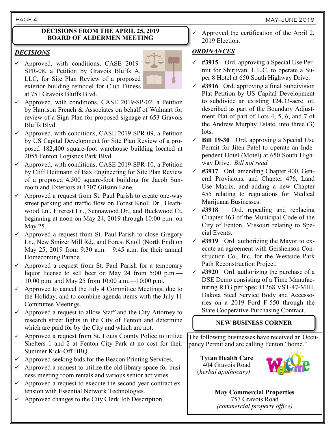#### **DECISIONS FROM THE APRIL 25, 2019 BOARD OF ALDERMEN MEETING**

#### *DECISIONS*

 $\checkmark$  Approved, with conditions, CASE 2019-SPR-08, a Petition by Gravois Bluffs A, LLC, for Site Plan Review of a proposed exterior building remodel for Club Fitness at 751 Gravois Bluffs Blvd.



- Approved, with conditions, CASE 2019-SP-02, a Petition by Harrison French & Associates on behalf of Walmart for review of a Sign Plan for proposed signage at 653 Gravois Bluffs Blvd.
- Approved, with conditions, CASE 2019-SPR-09, a Petition by US Capital Development for Site Plan Review of a proposed 182,400 square-foot warehouse building located at 2055 Fenton Logistics Park Blvd.
- $\checkmark$  Approved, with conditions, CASE 2019-SPR-10, a Petition by Cliff Heitmann of Bax Engineering for Site Plan Review of a proposed 4,500 square-foot building for Jacob Sunroom and Exteriors at 1707 Gilsinn Lane.
- Approved a request from St. Paul Parish to create one-way street parking and traffic flow on Forest Knoll Dr., Heathwood Ln., Fircrest Ln., Sennawood Dr., and Buckwood Ct. beginning at noon on May 24, 2019 through 10:00 p.m. on May 25.
- ✓ Approved a request from St. Paul Parish to close Gregory Ln., New Smizer Mill Rd., and Forest Knoll (North End) on May 25, 2019 from 9:30 a.m.—9:45 a.m. for their annual Homecoming Parade.
- Approved a request from St. Paul Parish for a temporary liquor license to sell beer on May 24 from 5:00 p.m.— 10:00 p.m. and May 25 from 10:00 a.m.—10:00 p.m.
- $\checkmark$  Approved to cancel the July 4 Committee Meetings, due to the Holiday, and to combine agenda items with the July 11 Committee Meetings.
- $\checkmark$  Approved a request to allow Staff and the City Attorney to research street lights in the City of Fenton and determine which are paid for by the City and which are not.
- $\checkmark$  Approved a request from St. Louis County Police to utilize Shelters 1 and 2 at Fenton City Park at no cost for their Summer Kick-Off BBQ.
- $\checkmark$  Approved seeking bids for the Beacon Printing Services.
- $\checkmark$  Approved a request to utilize the old library space for business meeting room rentals and various senior activities.
- $\checkmark$  Approved a request to execute the second-year contract extension with Essential Network Technologies.
- Approved changes to the City Clerk Job Description.

Approved the certification of the April 2, 2019 Election.

# *ORDINANCES*

- ✓ **#3915** Ord. approving a Special Use Permit for Shirjivan, L.L.C. to operate a Super 8 Hotel at 650 South Highway Drive.
- $\checkmark$  #3916 Ord. approving a final Subdivision Plat Petition by US Capital Development to subdivide an existing 124.33-acre lot, described as part of the Boundary Adjustment Plat of part of Lots 4, 5, 6, and 7 of the Andrew Murphy Estate, into three (3) lots.
- ✓ **Bill 19-30** Ord. approving a Special Use Permit for Jiten Patel to operate an Independent Hotel (Motel) at 650 South Highway Drive. *Bill not read.*
- ✓ **#3917** Ord. amending Chapter 400, General Provisions, and Chapter 476, Land Use Matrix, and adding a new Chapter 455 relating to regulations for Medical Marijuana Businesses.
- ✓ **#3918** Ord. repealing and replacing Chapter 463 of the Municipal Code of the City of Fenton, Missouri relating to Special Events.
- ✓ **#3919** Ord. authorizing the Mayor to execute an agreement with Gershenson Construction Co., Inc. for the Westside Park Path Reconstruction Project.
- ✓ **#3920** Ord. authorizing the purchase of a DSE Demo consisting of a Time Manufacturing RTG per Spec 11268 VST-47-MHI, Dakota Steel Service Body and Accessories on a 2019 Ford F-550 through the State Cooperative Purchasing Contract.

# **NEW BUSINESS CORNER**

The following businesses have received an Occupancy Permit and are calling Fenton "home."

**Tytan Health Care** 404 Gravois Road (*herbal apothocary)* 



**May Commercial Properties** 757 Gravois Road *(commercial property office)*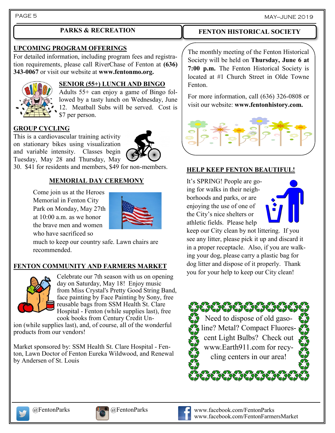# **PARKS & RECREATION**

#### **UPCOMING PROGRAM OFFERINGS**

For detailed information, including program fees and registration requirements, please call RiverChase of Fenton at **(636) 343-0067** or visit our website at **www.fentonmo.org.**



# **SENIOR (55+) LUNCH AND BINGO**

Adults 55+ can enjoy a game of Bingo followed by a tasty lunch on Wednesday, June 12. Meatball Subs will be served. Cost is \$7 per person.

# **GROUP CYCLING**

This is a cardiovascular training activity on stationary bikes using visualization and variable intensity. Classes begin Tuesday, May 28 and Thursday, May

30. \$41 for residents and members, \$49 for non-members.

# **MEMORIAL DAY CEREMONY**

Come join us at the Heroes Memorial in Fenton City Park on Monday, May 27th at 10:00 a.m. as we honor the brave men and women who have sacrificed so



much to keep our country safe. Lawn chairs are recommended.

### **FENTON COMMUNITY AND FARMERS MARKET**



Celebrate our 7th season with us on opening day on Saturday, May 18! Enjoy music from [Miss Crystal's Pretty Good String Band,](https://www.facebook.com/MissCrystalAndTheCodgers/?fref=mentions&__xts__%5B0%5D=68.ARAMWfa6I7u9EL7JP5p9CzQBLbZhWrr74WIm7EtKx26TMeFPU-u30U7zSLde5PMliIM0qIVOFK4035BWqwZyjsLdO712_6PiNrONL2cLIkBJVWUH12ooK5aOia-eA9d8AEtpKKwmHyrfNF6ZQZ4oPMNVdK-zcieq3WjsUumY7RSIE1_F) face painting by [Face Painting by Sony,](https://www.facebook.com/SoniaKPalmisano/?fref=mentions&__xts__%5B0%5D=68.ARAMWfa6I7u9EL7JP5p9CzQBLbZhWrr74WIm7EtKx26TMeFPU-u30U7zSLde5PMliIM0qIVOFK4035BWqwZyjsLdO712_6PiNrONL2cLIkBJVWUH12ooK5aOia-eA9d8AEtpKKwmHyrfNF6ZQZ4oPMNVdK-zcieq3WjsUumY7RSIE1_FQ36hsSmfe) free reusable bags from [SSM Health St. Clare](https://www.facebook.com/ssmhealthstclarefenton/?fref=mentions&__xts__%5B0%5D=68.ARAMWfa6I7u9EL7JP5p9CzQBLbZhWrr74WIm7EtKx26TMeFPU-u30U7zSLde5PMliIM0qIVOFK4035BWqwZyjsLdO712_6PiNrONL2cLIkBJVWUH12ooK5aOia-eA9d8AEtpKKwmHyrfNF6ZQZ4oPMNVdK-zcieq3WjsUumY7RSIE1_FQ3)  [Hospital](https://www.facebook.com/ssmhealthstclarefenton/?fref=mentions&__xts__%5B0%5D=68.ARAMWfa6I7u9EL7JP5p9CzQBLbZhWrr74WIm7EtKx26TMeFPU-u30U7zSLde5PMliIM0qIVOFK4035BWqwZyjsLdO712_6PiNrONL2cLIkBJVWUH12ooK5aOia-eA9d8AEtpKKwmHyrfNF6ZQZ4oPMNVdK-zcieq3WjsUumY7RSIE1_FQ3) - Fenton (while supplies last), free cook books from [Century Credit Un-](https://www.facebook.com/centurycu/?fref=mentions&__xts__%5B0%5D=68.ARAMWfa6I7u9EL7JP5p9CzQBLbZhWrr74WIm7EtKx26TMeFPU-u30U7zSLde5PMliIM0qIVOFK4035BWqwZyjsLdO712_6PiNrONL2cLIkBJVWUH12ooK5aOia-eA9d8AEtpKKwmHyrfNF6ZQZ4oPMNVdK-zcieq3WjsUumY7RSIE1_FQ36hsSmfeXSaYxh)

[ion](https://www.facebook.com/centurycu/?fref=mentions&__xts__%5B0%5D=68.ARAMWfa6I7u9EL7JP5p9CzQBLbZhWrr74WIm7EtKx26TMeFPU-u30U7zSLde5PMliIM0qIVOFK4035BWqwZyjsLdO712_6PiNrONL2cLIkBJVWUH12ooK5aOia-eA9d8AEtpKKwmHyrfNF6ZQZ4oPMNVdK-zcieq3WjsUumY7RSIE1_FQ36hsSmfeXSaYxh) (while supplies last), and, of course, all of the wonderful products from our vendors!

Market sponsored by: [SSM Health St. Clare Hospital](https://www.facebook.com/ssmhealthstclarefenton/?fref=mentions&__xts__%5B0%5D=68.ARAMWfa6I7u9EL7JP5p9CzQBLbZhWrr74WIm7EtKx26TMeFPU-u30U7zSLde5PMliIM0qIVOFK4035BWqwZyjsLdO712_6PiNrONL2cLIkBJVWUH12ooK5aOia-eA9d8AEtpKKwmHyrfNF6ZQZ4oPMNVdK-zcieq3WjsUumY7RSIE1_FQ3) - Fen[ton,](https://www.facebook.com/ssmhealthstclarefenton/?fref=mentions&__xts__%5B0%5D=68.ARAMWfa6I7u9EL7JP5p9CzQBLbZhWrr74WIm7EtKx26TMeFPU-u30U7zSLde5PMliIM0qIVOFK4035BWqwZyjsLdO712_6PiNrONL2cLIkBJVWUH12ooK5aOia-eA9d8AEtpKKwmHyrfNF6ZQZ4oPMNVdK-zcieq3WjsUumY7RSIE1_FQ3) [Lawn Doctor of Fenton Eureka Wildwood,](https://www.facebook.com/Lawn-Doctor-of-Fenton-Eureka-Wildwood-141557060072517/?fref=mentions&__xts__%5B0%5D=68.ARAMWfa6I7u9EL7JP5p9CzQBLbZhWrr74WIm7EtKx26TMeFPU-u30U7zSLde5PMliIM0qIVOFK4035BWqwZyjsLdO712_6PiNrONL2cLIkBJVWUH12ooK5aOia-eA9d8AEtpKKwmHyrfNF6ZQZ4) and Renewal [by Andersen of St. Louis](https://www.facebook.com/renewalbyandersenstl/?fref=mentions&__xts__%5B0%5D=68.ARAMWfa6I7u9EL7JP5p9CzQBLbZhWrr74WIm7EtKx26TMeFPU-u30U7zSLde5PMliIM0qIVOFK4035BWqwZyjsLdO712_6PiNrONL2cLIkBJVWUH12ooK5aOia-eA9d8AEtpKKwmHyrfNF6ZQZ4oPMNVdK-zcieq3WjsUumY7RSIE1_FQ36h)

# **FENTON HISTORICAL SOCIETY**

The monthly meeting of the Fenton Historical Society will be held on **Thursday, June 6 at 7:00 p.m.** The Fenton Historical Society is located at #1 Church Street in Olde Towne Fenton.

For more information, call (636) 326-0808 or visit our website: **www.fentonhistory.com.**



### **HELP KEEP FENTON BEAUTIFUL!**

It's SPRING! People are going for walks in their neighborhoods and parks, or are enjoying the use of one of the City's nice shelters or athletic fields. Please help



keep our City clean by not littering. If you see any litter, please pick it up and discard it in a proper receptacle. Also, if you are walking your dog, please carry a plastic bag for dog litter and dispose of it properly. Thank you for your help to keep our City clean!







@FentonParks @FentonParks www.facebook.com/FentonParks www.facebook.com/FentonFarmersMarket